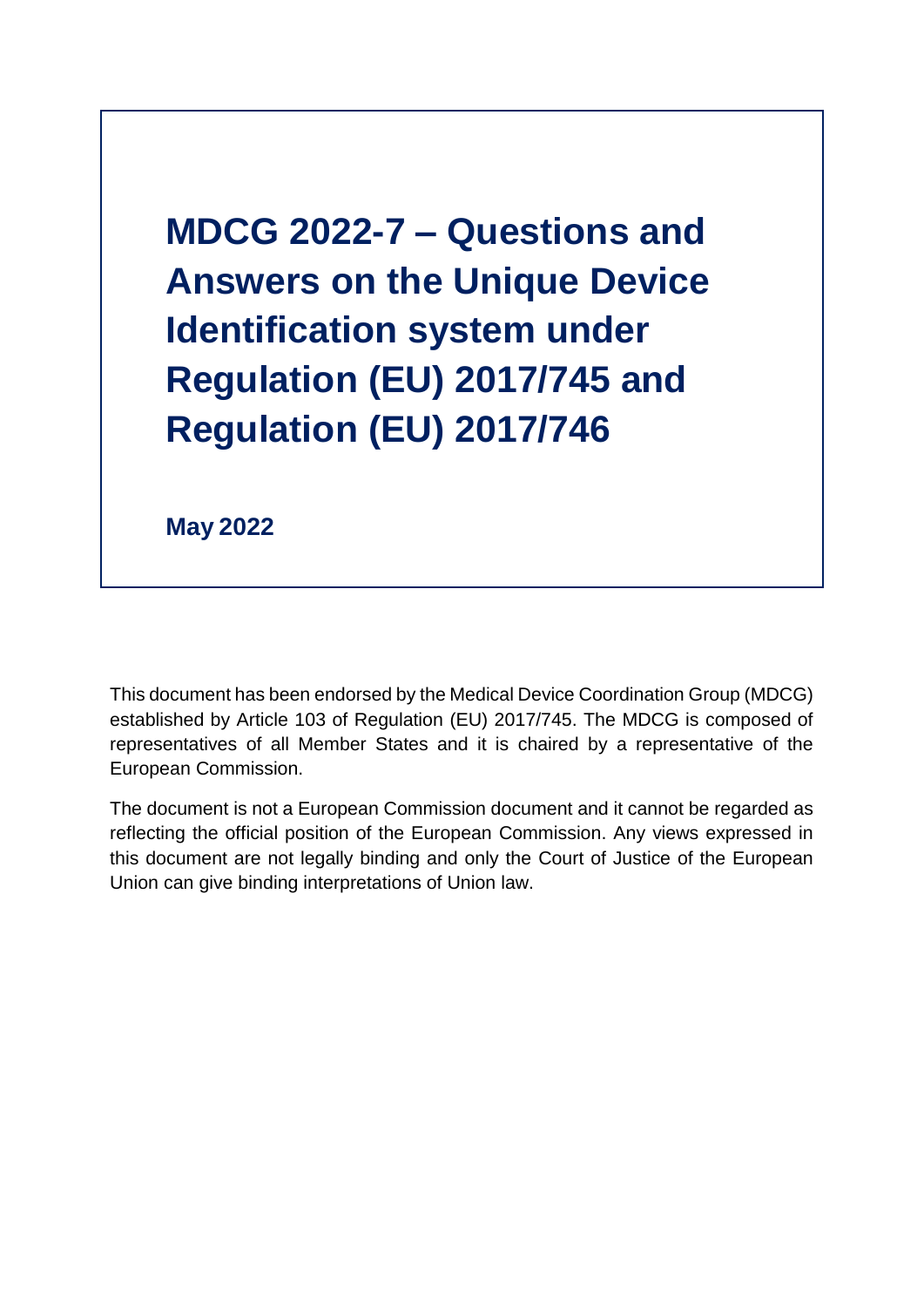**MDCG 2022-7 – Questions and Answers on the Unique Device Identification system under Regulation (EU) 2017/745 and Regulation (EU) 2017/746**

**May 2022**

This document has been endorsed by the Medical Device Coordination Group (MDCG) established by Article 103 of Regulation (EU) 2017/745. The MDCG is composed of representatives of all Member States and it is chaired by a representative of the European Commission.

The document is not a European Commission document and it cannot be regarded as reflecting the official position of the European Commission. Any views expressed in this document are not legally binding and only the Court of Justice of the European Union can give binding interpretations of Union law.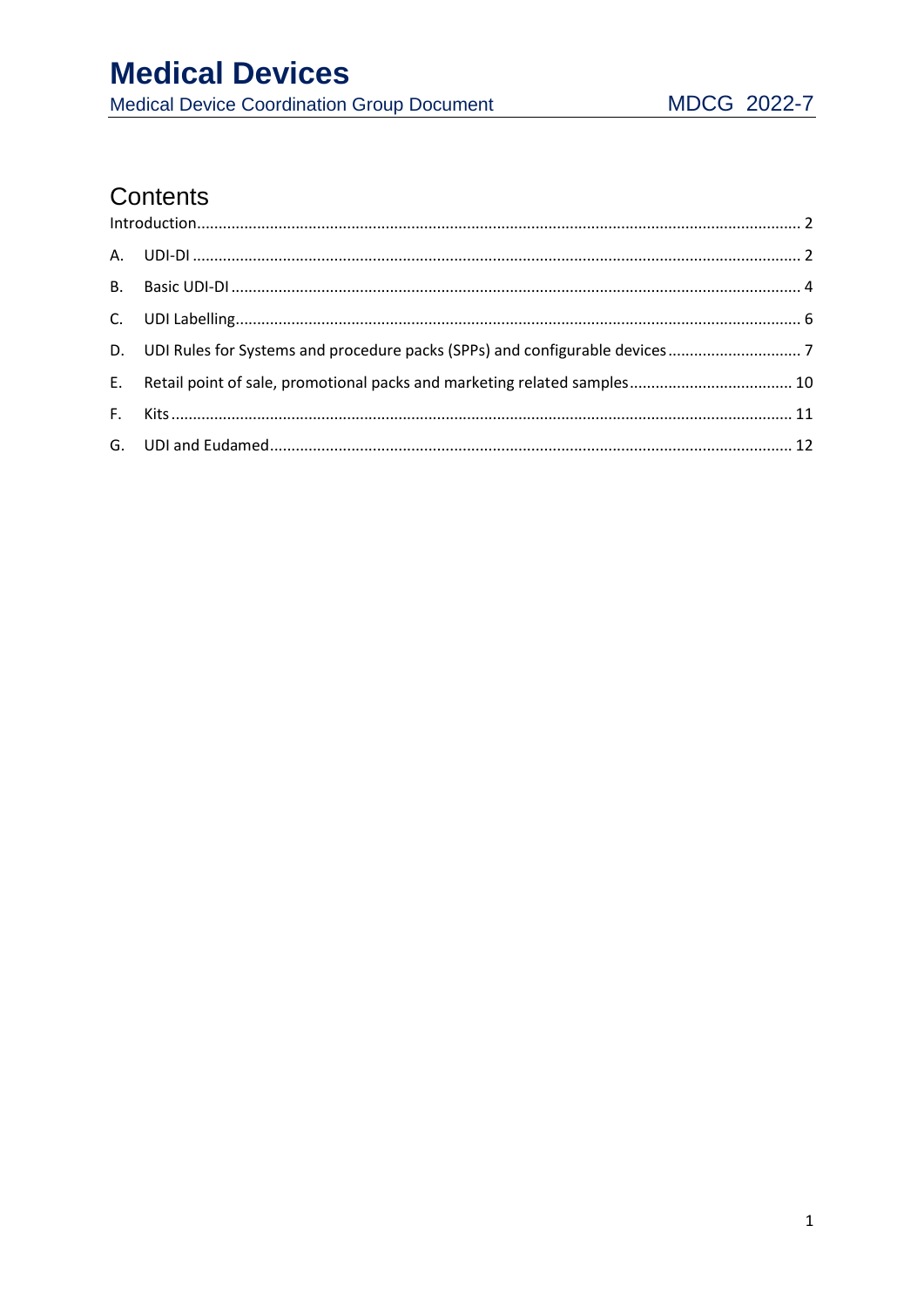# **Medical Devices**

Medical Device Coordination Group Document

# Contents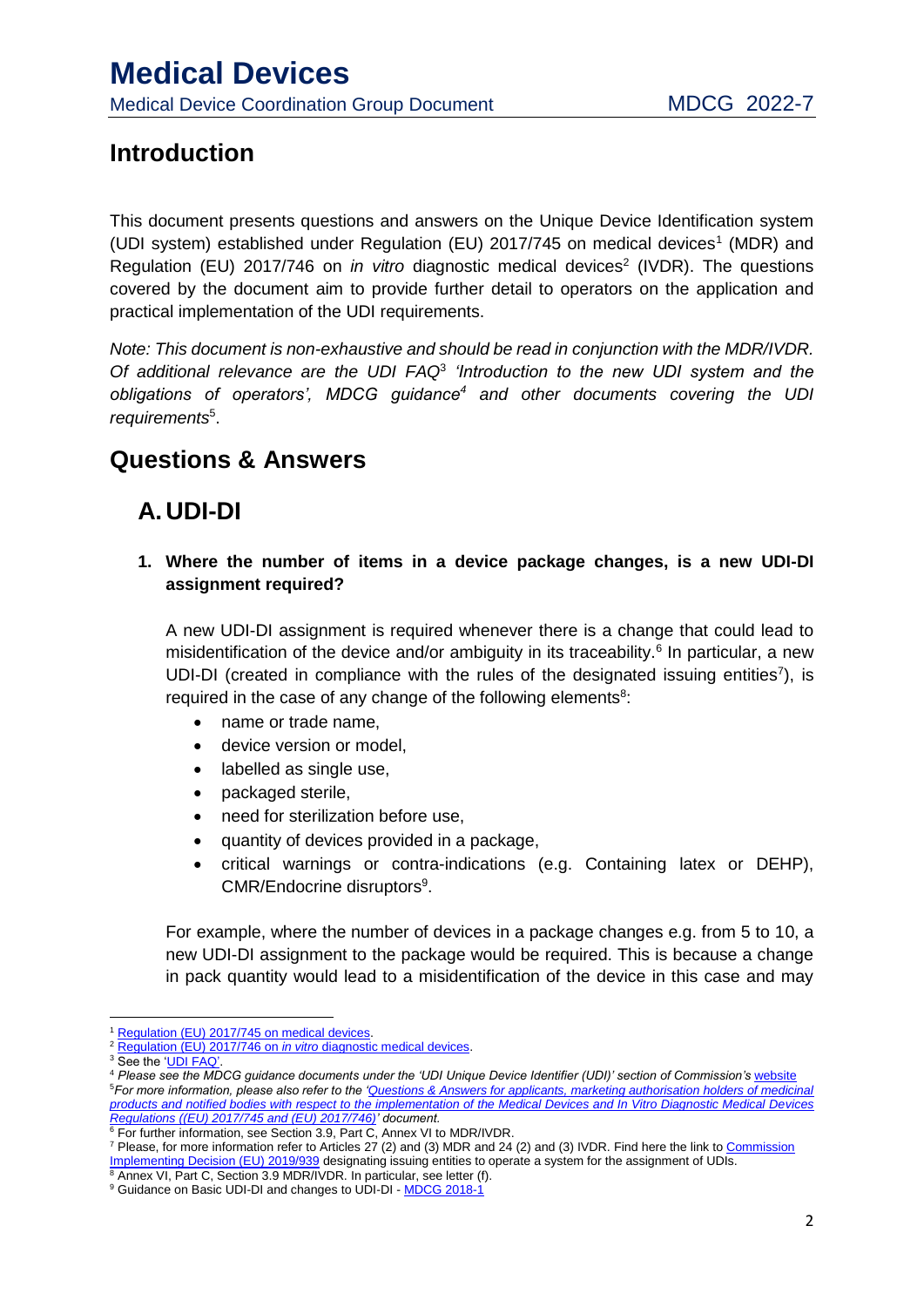### <span id="page-2-0"></span>**Introduction**

This document presents questions and answers on the Unique Device Identification system (UDI system) established under Regulation (EU) 2017/745 on medical devices<sup>1</sup> (MDR) and Regulation (EU) 2017/746 on *in vitro* diagnostic medical devices<sup>2</sup> (IVDR). The questions covered by the document aim to provide further detail to operators on the application and practical implementation of the UDI requirements.

*Note: This document is non-exhaustive and should be read in conjunction with the MDR/IVDR. Of additional relevance are the UDI FAQ*<sup>3</sup> *'Introduction to the new UDI system and the obligations of operators', MDCG guidance<sup>4</sup> and other documents covering the UDI requirements*<sup>5</sup> .

### **Questions & Answers**

## <span id="page-2-1"></span>**A.UDI-DI**

**1. Where the number of items in a device package changes, is a new UDI-DI assignment required?** 

A new UDI-DI assignment is required whenever there is a change that could lead to misidentification of the device and/or ambiguity in its traceability.<sup>6</sup> In particular, a new UDI-DI (created in compliance with the rules of the designated issuing entities<sup>7</sup>), is required in the case of any change of the following elements<sup>8</sup>:

- name or trade name,
- **•** device version or model.
- labelled as single use,
- packaged sterile,
- need for sterilization before use,
- quantity of devices provided in a package,
- critical warnings or contra-indications (e.g. Containing latex or DEHP), CMR/Endocrine disruptors<sup>9</sup>.

For example, where the number of devices in a package changes e.g. from 5 to 10, a new UDI-DI assignment to the package would be required. This is because a change in pack quantity would lead to a misidentification of the device in this case and may

**.** 

<sup>7</sup> Please, for more information refer to Articles 27 (2) and (3) MDR and 24 (2) and (3) IVDR. Find here the link to Commission Implementing Decision (EU) 2019/939 designating issuing entities to operate a system for the assignment of UDIs.

<sup>1</sup> Regulation (EU) 2017/745 on medical devices.

<sup>2</sup> Regulation (EU) 2017/746 on *in vitro* diagnostic medical devices.

<sup>&</sup>lt;sup>3</sup> See the 'UDI FAQ'.

<sup>4</sup> *Please see the MDCG guidance documents under the 'UDI Unique Device Identifier (UDI)' section of Commission's* website <sup>5</sup>*For more information, please also refer to the 'Questions & Answers for applicants, marketing authorisation holders of medicinal products and notified bodies with respect to the implementation of the Medical Devices and In Vitro Diagnostic Medical Devices Regulations ((EU) 2017/745 and (EU) 2017/746)' document.*

<sup>6</sup> For further information, see Section 3.9, Part C, Annex VI to MDR/IVDR.

<sup>8</sup> Annex VI, Part C, Section 3.9 MDR/IVDR. In particular, see letter (f). <sup>9</sup> Guidance on Basic UDI-DI and changes to UDI-DI - MDCG 2018-1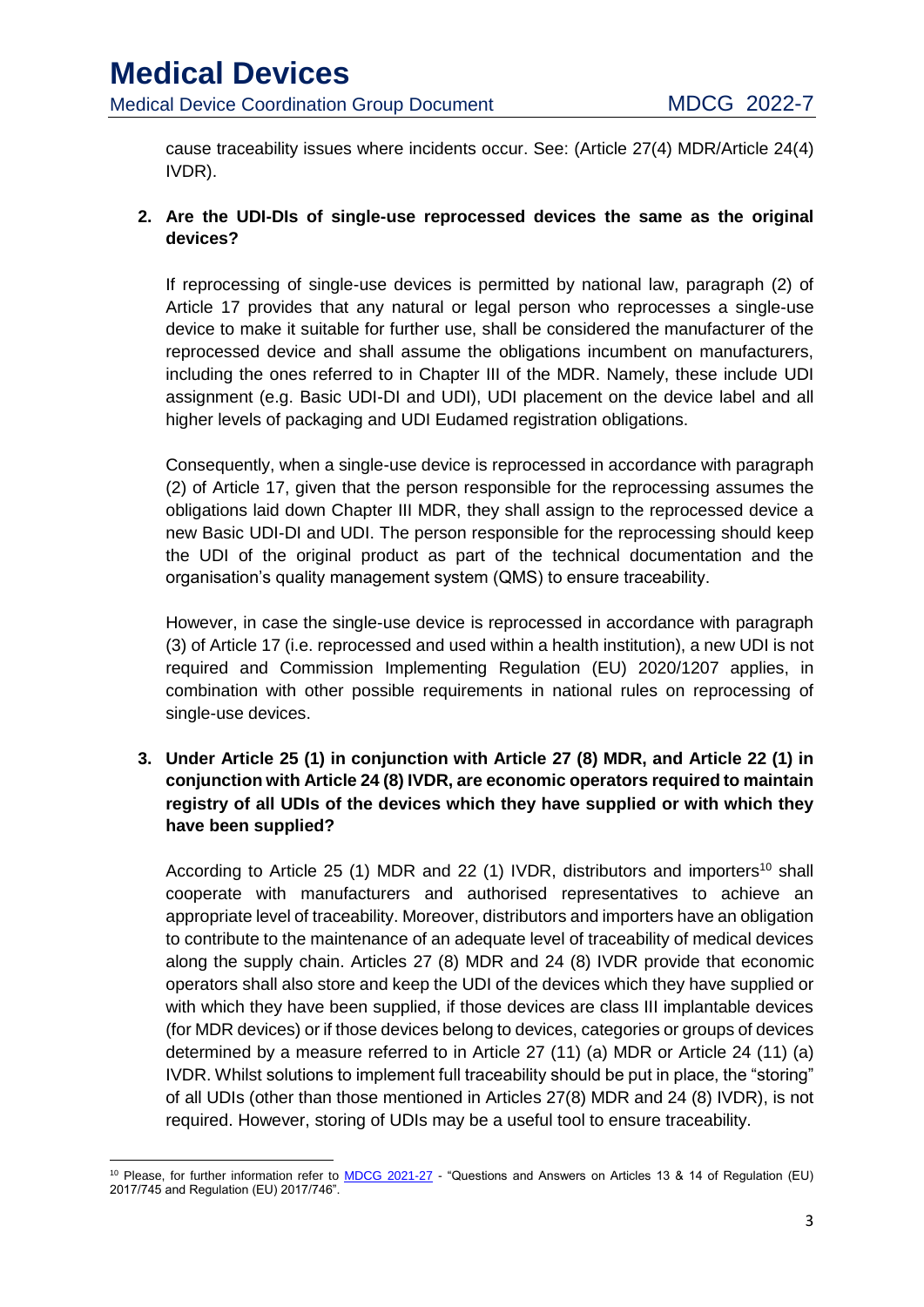cause traceability issues where incidents occur. See: (Article 27(4) MDR/Article 24(4) IVDR).

#### **2. Are the UDI-DIs of single-use reprocessed devices the same as the original devices?**

If reprocessing of single-use devices is permitted by national law, paragraph (2) of Article 17 provides that any natural or legal person who reprocesses a single-use device to make it suitable for further use, shall be considered the manufacturer of the reprocessed device and shall assume the obligations incumbent on manufacturers, including the ones referred to in Chapter III of the MDR. Namely, these include UDI assignment (e.g. Basic UDI-DI and UDI), UDI placement on the device label and all higher levels of packaging and UDI Eudamed registration obligations.

Consequently, when a single-use device is reprocessed in accordance with paragraph (2) of Article 17, given that the person responsible for the reprocessing assumes the obligations laid down Chapter III MDR, they shall assign to the reprocessed device a new Basic UDI-DI and UDI. The person responsible for the reprocessing should keep the UDI of the original product as part of the technical documentation and the organisation's quality management system (QMS) to ensure traceability.

However, in case the single-use device is reprocessed in accordance with paragraph (3) of Article 17 (i.e. reprocessed and used within a health institution), a new UDI is not required and Commission Implementing Regulation (EU) 2020/1207 applies, in combination with other possible requirements in national rules on reprocessing of single-use devices.

**3. Under Article 25 (1) in conjunction with Article 27 (8) MDR, and Article 22 (1) in conjunction with Article 24 (8) IVDR, are economic operators required to maintain registry of all UDIs of the devices which they have supplied or with which they have been supplied?**

According to Article 25 (1) MDR and 22 (1) IVDR, distributors and importers<sup>10</sup> shall cooperate with manufacturers and authorised representatives to achieve an appropriate level of traceability. Moreover, distributors and importers have an obligation to contribute to the maintenance of an adequate level of traceability of medical devices along the supply chain. Articles 27 (8) MDR and 24 (8) IVDR provide that economic operators shall also store and keep the UDI of the devices which they have supplied or with which they have been supplied, if those devices are class III implantable devices (for MDR devices) or if those devices belong to devices, categories or groups of devices determined by a measure referred to in Article 27 (11) (a) MDR or Article 24 (11) (a) IVDR. Whilst solutions to implement full traceability should be put in place, the "storing" of all UDIs (other than those mentioned in Articles 27(8) MDR and 24 (8) IVDR), is not required. However, storing of UDIs may be a useful tool to ensure traceability.

**<sup>.</sup>** <sup>10</sup> Please, for further information refer to MDCG 2021-27 - "Questions and Answers on Articles 13 & 14 of Regulation (EU) 2017/745 and Regulation (EU) 2017/746".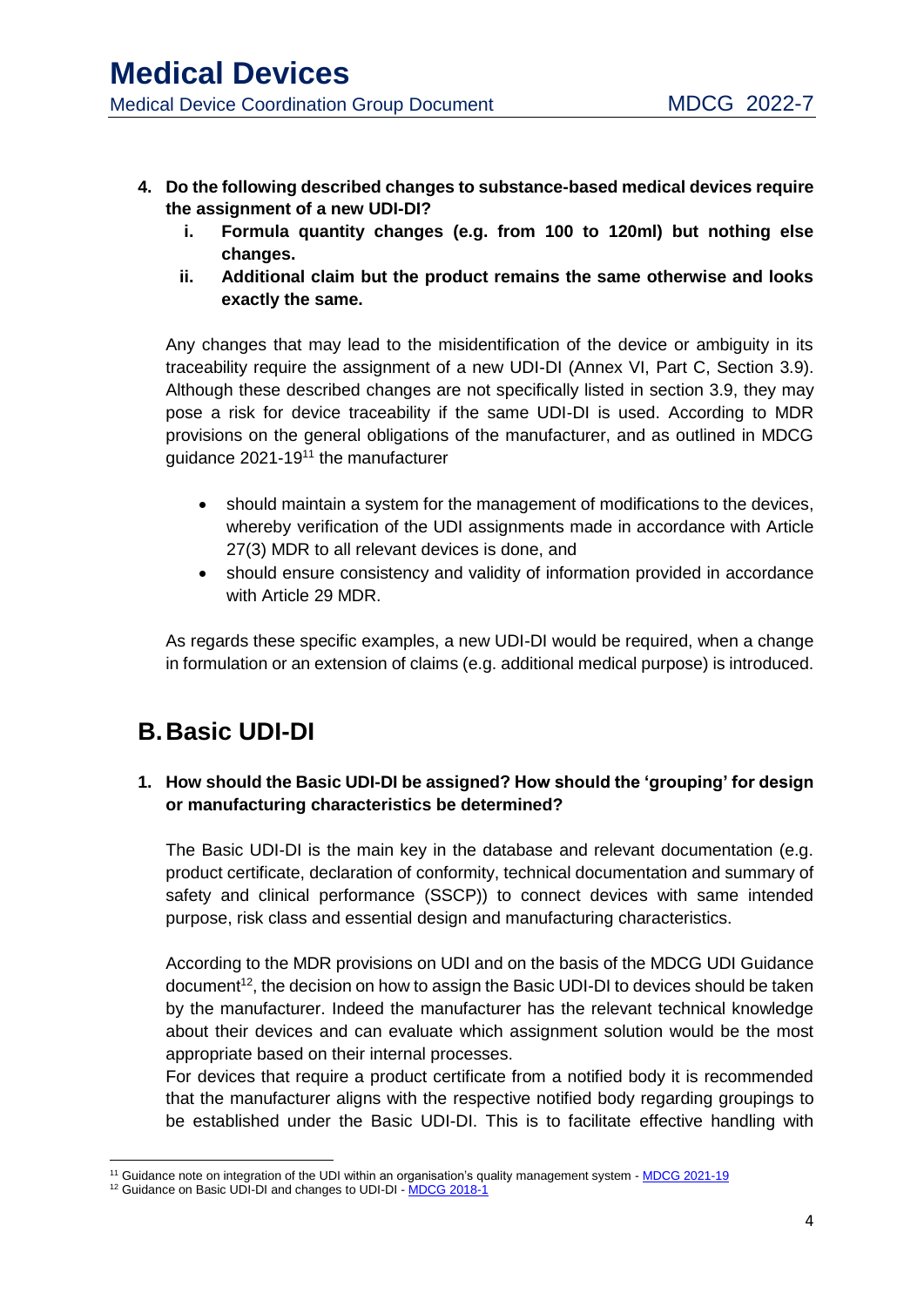- **4. Do the following described changes to substance-based medical devices require the assignment of a new UDI-DI?**
	- **i. Formula quantity changes (e.g. from 100 to 120ml) but nothing else changes.**
	- **ii. Additional claim but the product remains the same otherwise and looks exactly the same.**

Any changes that may lead to the misidentification of the device or ambiguity in its traceability require the assignment of a new UDI-DI (Annex VI, Part C, Section 3.9). Although these described changes are not specifically listed in section 3.9, they may pose a risk for device traceability if the same UDI-DI is used. According to MDR provisions on the general obligations of the manufacturer, and as outlined in MDCG guidance 2021-19<sup>11</sup> the manufacturer

- should maintain a system for the management of modifications to the devices, whereby verification of the UDI assignments made in accordance with Article 27(3) MDR to all relevant devices is done, and
- should ensure consistency and validity of information provided in accordance with Article 29 MDR.

As regards these specific examples, a new UDI-DI would be required, when a change in formulation or an extension of claims (e.g. additional medical purpose) is introduced.

## <span id="page-4-0"></span>**B.Basic UDI-DI**

#### **1. How should the Basic UDI-DI be assigned? How should the 'grouping' for design or manufacturing characteristics be determined?**

The Basic UDI-DI is the main key in the database and relevant documentation (e.g. product certificate, declaration of conformity, technical documentation and summary of safety and clinical performance (SSCP)) to connect devices with same intended purpose, risk class and essential design and manufacturing characteristics.

According to the MDR provisions on UDI and on the basis of the MDCG UDI Guidance document<sup>12</sup>, the decision on how to assign the Basic UDI-DI to devices should be taken by the manufacturer. Indeed the manufacturer has the relevant technical knowledge about their devices and can evaluate which assignment solution would be the most appropriate based on their internal processes.

For devices that require a product certificate from a notified body it is recommended that the manufacturer aligns with the respective notified body regarding groupings to be established under the Basic UDI-DI. This is to facilitate effective handling with

**<sup>.</sup>** <sup>11</sup> Guidance note on integration of the UDI within an organisation's quality management system - MDCG 2021-19

<sup>&</sup>lt;sup>12</sup> Guidance on Basic UDI-DI and changes to UDI-DI - MDCG 2018-1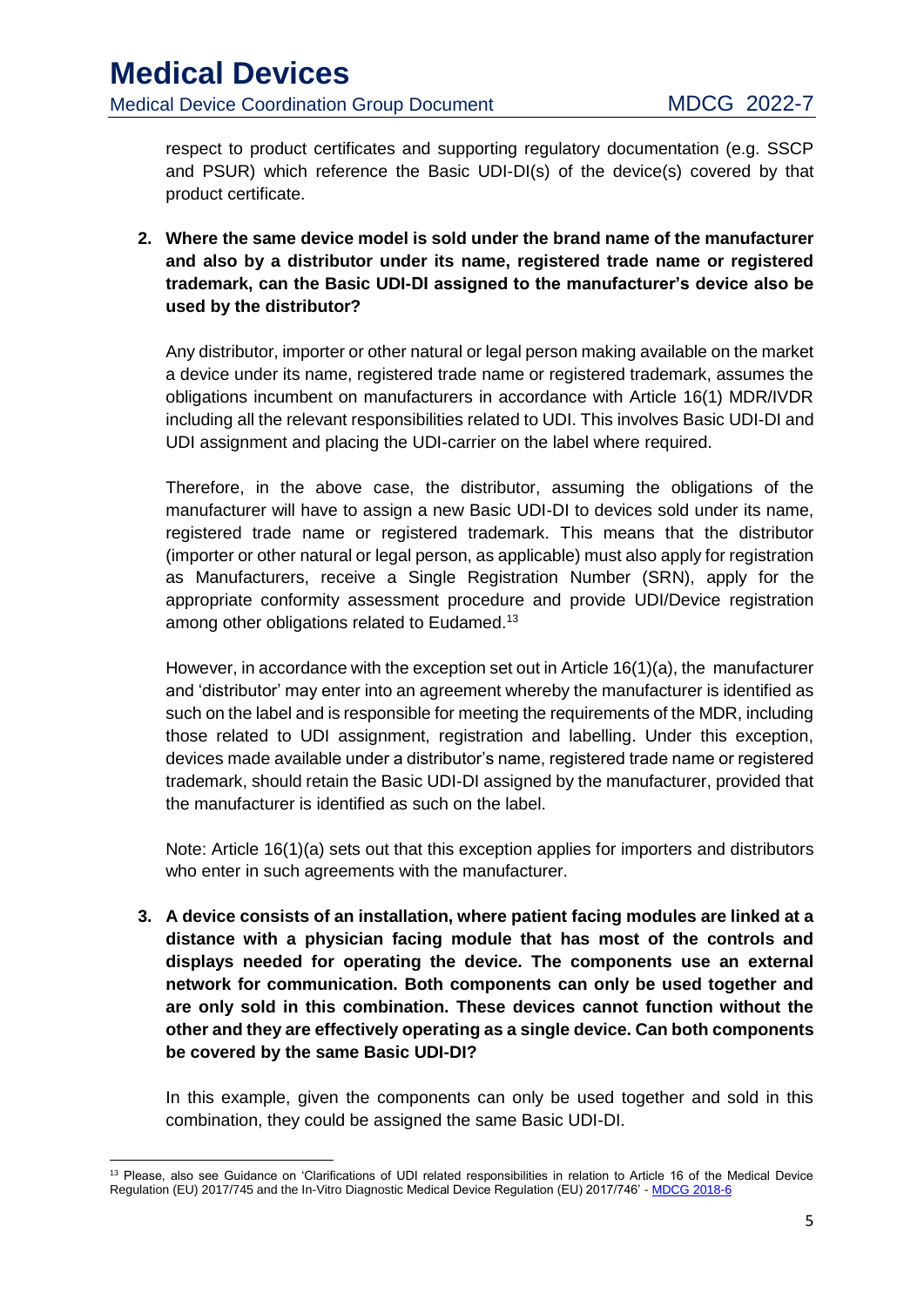respect to product certificates and supporting regulatory documentation (e.g. SSCP and PSUR) which reference the Basic UDI-DI(s) of the device(s) covered by that product certificate.

**2. Where the same device model is sold under the brand name of the manufacturer and also by a distributor under its name, registered trade name or registered trademark, can the Basic UDI-DI assigned to the manufacturer's device also be used by the distributor?** 

Any distributor, importer or other natural or legal person making available on the market a device under its name, registered trade name or registered trademark, assumes the obligations incumbent on manufacturers in accordance with Article 16(1) MDR/IVDR including all the relevant responsibilities related to UDI. This involves Basic UDI-DI and UDI assignment and placing the UDI-carrier on the label where required.

Therefore, in the above case, the distributor, assuming the obligations of the manufacturer will have to assign a new Basic UDI-DI to devices sold under its name, registered trade name or registered trademark. This means that the distributor (importer or other natural or legal person, as applicable) must also apply for registration as Manufacturers, receive a Single Registration Number (SRN), apply for the appropriate conformity assessment procedure and provide UDI/Device registration among other obligations related to Eudamed.<sup>13</sup>

However, in accordance with the exception set out in Article 16(1)(a), the manufacturer and 'distributor' may enter into an agreement whereby the manufacturer is identified as such on the label and is responsible for meeting the requirements of the MDR, including those related to UDI assignment, registration and labelling. Under this exception, devices made available under a distributor's name, registered trade name or registered trademark, should retain the Basic UDI-DI assigned by the manufacturer, provided that the manufacturer is identified as such on the label.

Note: Article 16(1)(a) sets out that this exception applies for importers and distributors who enter in such agreements with the manufacturer.

**3. A device consists of an installation, where patient facing modules are linked at a distance with a physician facing module that has most of the controls and displays needed for operating the device. The components use an external network for communication. Both components can only be used together and are only sold in this combination. These devices cannot function without the other and they are effectively operating as a single device. Can both components be covered by the same Basic UDI-DI?** 

In this example, given the components can only be used together and sold in this combination, they could be assigned the same Basic UDI-DI.

**<sup>.</sup>** <sup>13</sup> Please, also see Guidance on 'Clarifications of UDI related responsibilities in relation to Article 16 of the Medical Device Regulation (EU) 2017/745 and the In-Vitro Diagnostic Medical Device Regulation (EU) 2017/746' - MDCG 2018-6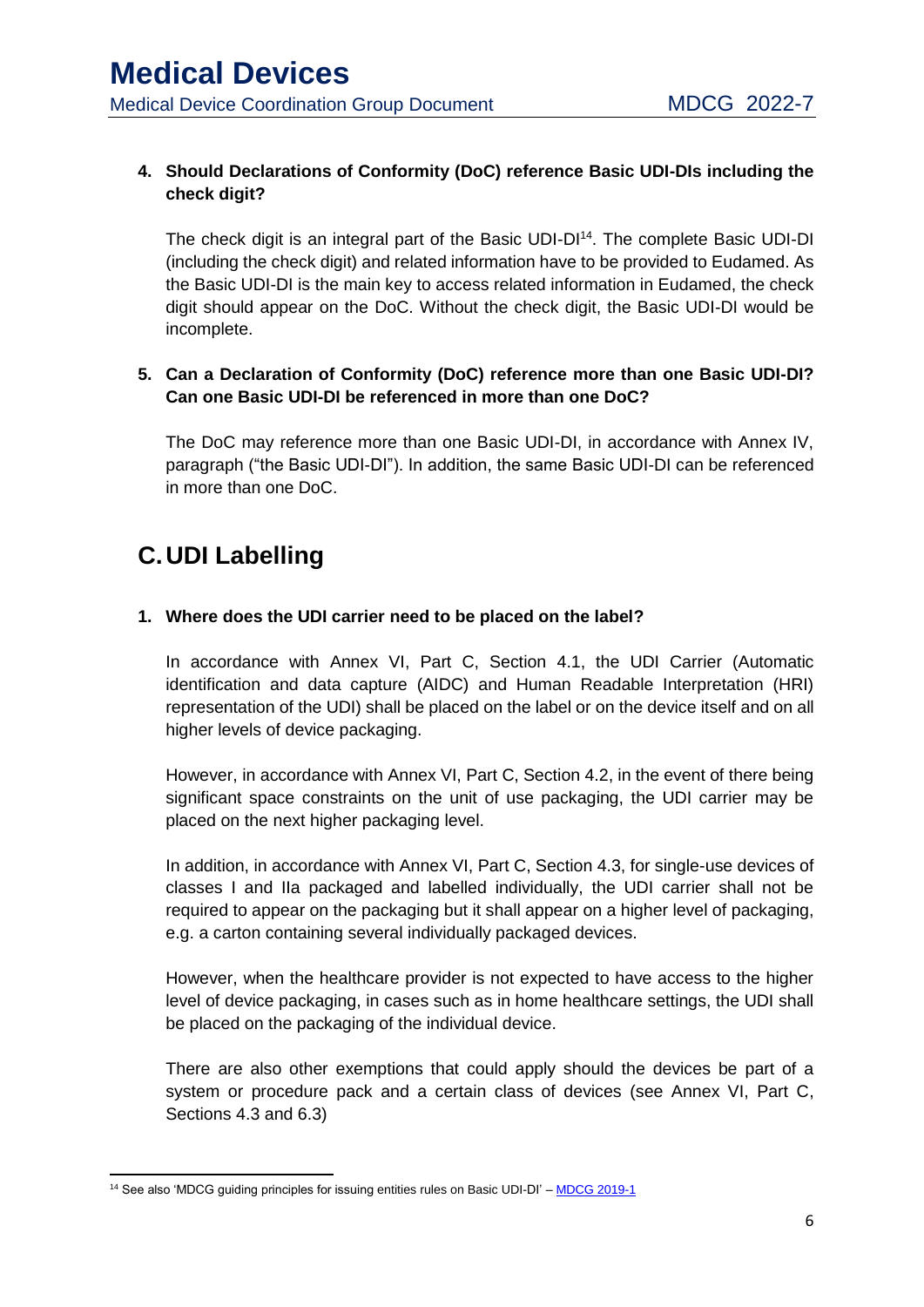#### **4. Should Declarations of Conformity (DoC) reference Basic UDI-DIs including the check digit?**

The check digit is an integral part of the Basic UDI-DI<sup>14</sup>. The complete Basic UDI-DI (including the check digit) and related information have to be provided to Eudamed. As the Basic UDI-DI is the main key to access related information in Eudamed, the check digit should appear on the DoC. Without the check digit, the Basic UDI-DI would be incomplete.

#### **5. Can a Declaration of Conformity (DoC) reference more than one Basic UDI-DI? Can one Basic UDI-DI be referenced in more than one DoC?**

The DoC may reference more than one Basic UDI-DI, in accordance with Annex IV, paragraph ("the Basic UDI-DI"). In addition, the same Basic UDI-DI can be referenced in more than one DoC.

# <span id="page-6-0"></span>**C.UDI Labelling**

#### **1. Where does the UDI carrier need to be placed on the label?**

In accordance with Annex VI, Part C, Section 4.1, the UDI Carrier (Automatic identification and data capture (AIDC) and Human Readable Interpretation (HRI) representation of the UDI) shall be placed on the label or on the device itself and on all higher levels of device packaging.

However, in accordance with Annex VI, Part C, Section 4.2, in the event of there being significant space constraints on the unit of use packaging, the UDI carrier may be placed on the next higher packaging level.

In addition, in accordance with Annex VI, Part C, Section 4.3, for single-use devices of classes I and IIa packaged and labelled individually, the UDI carrier shall not be required to appear on the packaging but it shall appear on a higher level of packaging, e.g. a carton containing several individually packaged devices.

However, when the healthcare provider is not expected to have access to the higher level of device packaging, in cases such as in home healthcare settings, the UDI shall be placed on the packaging of the individual device.

There are also other exemptions that could apply should the devices be part of a system or procedure pack and a certain class of devices (see Annex VI, Part C, Sections 4.3 and 6.3)

<sup>1</sup> <sup>14</sup> See also 'MDCG guiding principles for issuing entities rules on Basic UDI-DI' – MDCG 2019-1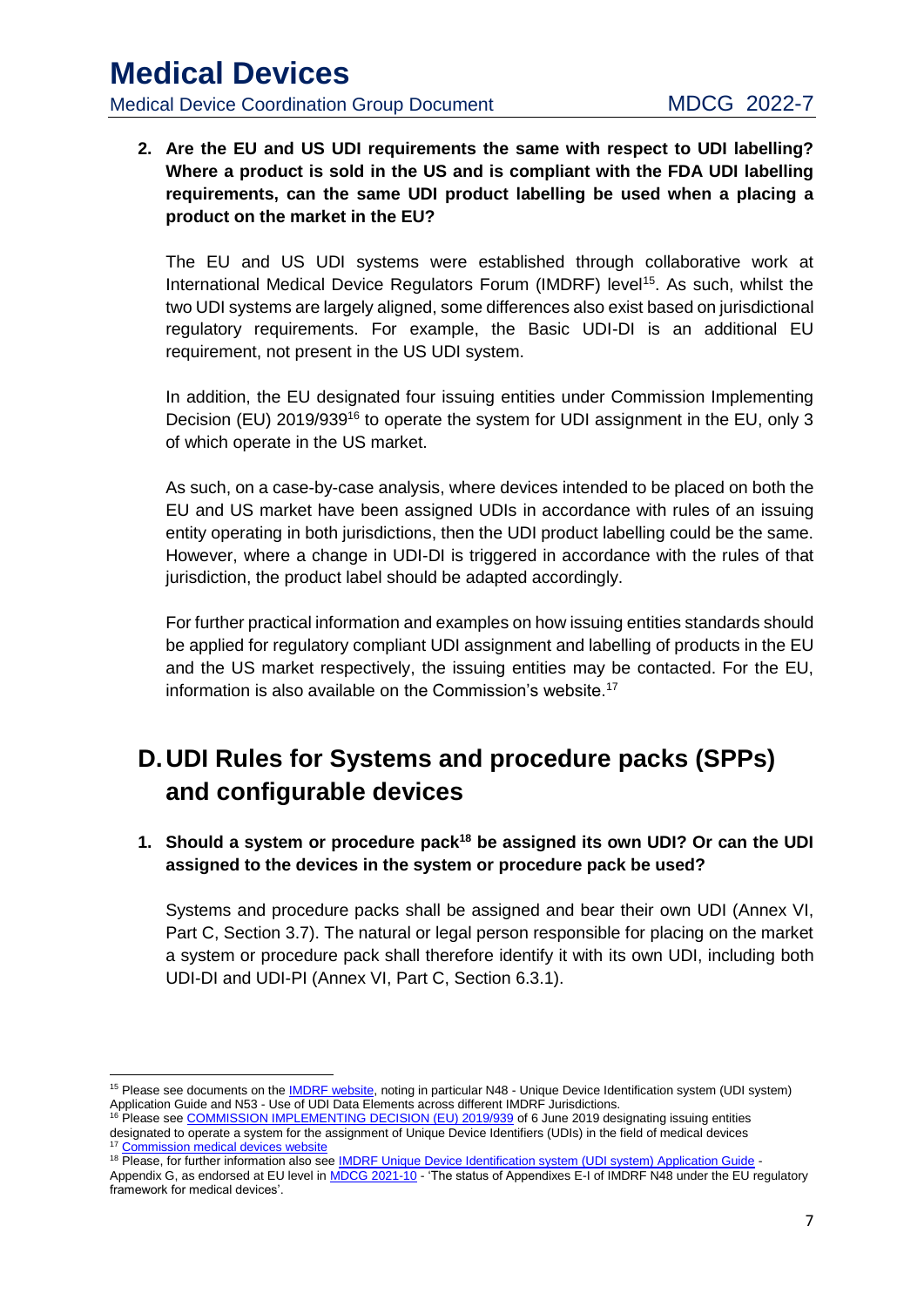**2. Are the EU and US UDI requirements the same with respect to UDI labelling? Where a product is sold in the US and is compliant with the FDA UDI labelling requirements, can the same UDI product labelling be used when a placing a product on the market in the EU?**

The EU and US UDI systems were established through collaborative work at International Medical Device Regulators Forum (IMDRF) level<sup>15</sup>. As such, whilst the two UDI systems are largely aligned, some differences also exist based on jurisdictional regulatory requirements. For example, the Basic UDI-DI is an additional EU requirement, not present in the US UDI system.

In addition, the EU designated four issuing entities under Commission Implementing Decision (EU) 2019/939<sup>16</sup> to operate the system for UDI assignment in the EU, only 3 of which operate in the US market.

As such, on a case-by-case analysis, where devices intended to be placed on both the EU and US market have been assigned UDIs in accordance with rules of an issuing entity operating in both jurisdictions, then the UDI product labelling could be the same. However, where a change in UDI-DI is triggered in accordance with the rules of that jurisdiction, the product label should be adapted accordingly.

For further practical information and examples on how issuing entities standards should be applied for regulatory compliant UDI assignment and labelling of products in the EU and the US market respectively, the issuing entities may be contacted. For the EU, information is also available on the Commission's website.<sup>17</sup>

# <span id="page-7-0"></span>**D.UDI Rules for Systems and procedure packs (SPPs) and configurable devices**

**1. Should a system or procedure pack<sup>18</sup> be assigned its own UDI? Or can the UDI assigned to the devices in the system or procedure pack be used?**

Systems and procedure packs shall be assigned and bear their own UDI (Annex VI, Part C, Section 3.7). The natural or legal person responsible for placing on the market a system or procedure pack shall therefore identify it with its own UDI, including both UDI-DI and UDI-PI (Annex VI, Part C, Section 6.3.1).

<sup>1</sup> <sup>15</sup> Please see documents on the IMDRF website, noting in particular N48 - Unique Device Identification system (UDI system) Application Guide and N53 - Use of UDI Data Elements across different IMDRF Jurisdictions.

<sup>&</sup>lt;sup>16</sup> Please see COMMISSION IMPLEMENTING DECISION (EU) 2019/939 of 6 June 2019 designating issuing entities designated to operate a system for the assignment of Unique Device Identifiers (UDIs) in the field of medical devices <sup>17</sup> Commission medical devices website

<sup>18</sup> Please, for further information also see IMDRF Unique Device Identification system (UDI system) Application Guide -

Appendix G, as endorsed at EU level in MDCG 2021-10 - 'The status of Appendixes E-I of IMDRF N48 under the EU regulatory framework for medical devices'.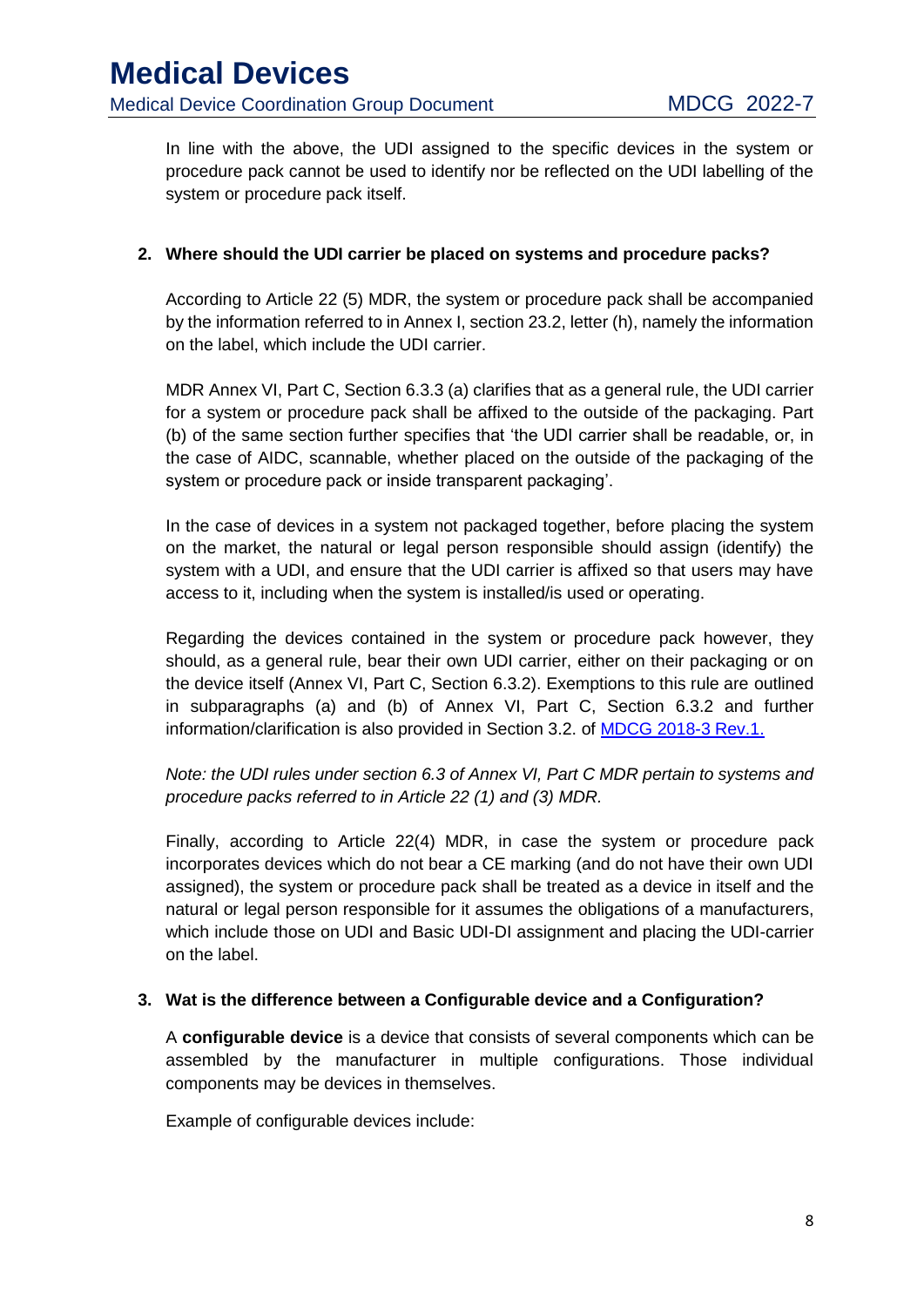In line with the above, the UDI assigned to the specific devices in the system or procedure pack cannot be used to identify nor be reflected on the UDI labelling of the system or procedure pack itself.

#### **2. Where should the UDI carrier be placed on systems and procedure packs?**

According to Article 22 (5) MDR, the system or procedure pack shall be accompanied by the information referred to in Annex I, section 23.2, letter (h), namely the information on the label, which include the UDI carrier.

MDR Annex VI, Part C, Section 6.3.3 (a) clarifies that as a general rule, the UDI carrier for a system or procedure pack shall be affixed to the outside of the packaging. Part (b) of the same section further specifies that 'the UDI carrier shall be readable, or, in the case of AIDC, scannable, whether placed on the outside of the packaging of the system or procedure pack or inside transparent packaging'.

In the case of devices in a system not packaged together, before placing the system on the market, the natural or legal person responsible should assign (identify) the system with a UDI, and ensure that the UDI carrier is affixed so that users may have access to it, including when the system is installed/is used or operating.

Regarding the devices contained in the system or procedure pack however, they should, as a general rule, bear their own UDI carrier, either on their packaging or on the device itself (Annex VI, Part C, Section 6.3.2). Exemptions to this rule are outlined in subparagraphs (a) and (b) of Annex VI, Part C, Section 6.3.2 and further information/clarification is also provided in Section 3.2. of MDCG 2018-3 Rev.1.

*Note: the UDI rules under section 6.3 of Annex VI, Part C MDR pertain to systems and procedure packs referred to in Article 22 (1) and (3) MDR.*

Finally, according to Article 22(4) MDR, in case the system or procedure pack incorporates devices which do not bear a CE marking (and do not have their own UDI assigned), the system or procedure pack shall be treated as a device in itself and the natural or legal person responsible for it assumes the obligations of a manufacturers, which include those on UDI and Basic UDI-DI assignment and placing the UDI-carrier on the label.

#### **3. Wat is the difference between a Configurable device and a Configuration?**

A **configurable device** is a device that consists of several components which can be assembled by the manufacturer in multiple configurations. Those individual components may be devices in themselves.

Example of configurable devices include: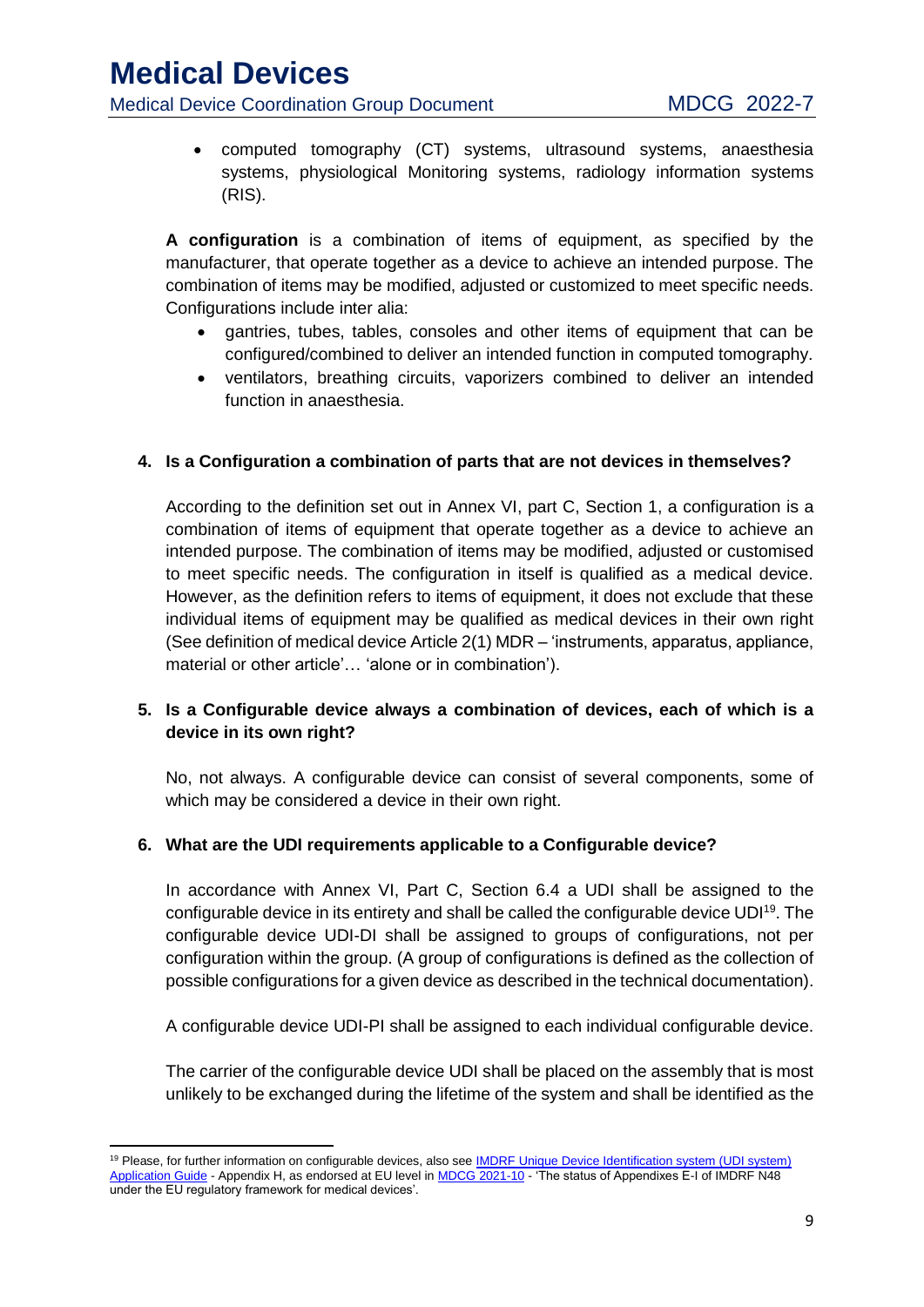- Medical Device Coordination Group Document MDCG 2022-7
	- computed tomography (CT) systems, ultrasound systems, anaesthesia systems, physiological Monitoring systems, radiology information systems (RIS).

**A configuration** is a combination of items of equipment, as specified by the manufacturer, that operate together as a device to achieve an intended purpose. The combination of items may be modified, adjusted or customized to meet specific needs. Configurations include inter alia:

- gantries, tubes, tables, consoles and other items of equipment that can be configured/combined to deliver an intended function in computed tomography.
- ventilators, breathing circuits, vaporizers combined to deliver an intended function in anaesthesia.

#### **4. Is a Configuration a combination of parts that are not devices in themselves?**

According to the definition set out in Annex VI, part C, Section 1, a configuration is a combination of items of equipment that operate together as a device to achieve an intended purpose. The combination of items may be modified, adjusted or customised to meet specific needs. The configuration in itself is qualified as a medical device. However, as the definition refers to items of equipment, it does not exclude that these individual items of equipment may be qualified as medical devices in their own right (See definition of medical device Article 2(1) MDR – 'instruments, apparatus, appliance, material or other article'… 'alone or in combination').

#### **5. Is a Configurable device always a combination of devices, each of which is a device in its own right?**

No, not always. A configurable device can consist of several components, some of which may be considered a device in their own right.

#### **6. What are the UDI requirements applicable to a Configurable device?**

In accordance with Annex VI, Part C, Section 6.4 a UDI shall be assigned to the configurable device in its entirety and shall be called the configurable device UDI<sup>19</sup>. The configurable device UDI-DI shall be assigned to groups of configurations, not per configuration within the group. (A group of configurations is defined as the collection of possible configurations for a given device as described in the technical documentation).

A configurable device UDI-PI shall be assigned to each individual configurable device.

The carrier of the configurable device UDI shall be placed on the assembly that is most unlikely to be exchanged during the lifetime of the system and shall be identified as the

**<sup>.</sup>** <sup>19</sup> Please, for further information on configurable devices, also see **IMDRF Unique Device Identification system (UDI system)** Application Guide - Appendix H, as endorsed at EU level in MDCG 2021-10 - 'The status of Appendixes E-I of IMDRF N48 under the EU regulatory framework for medical devices'.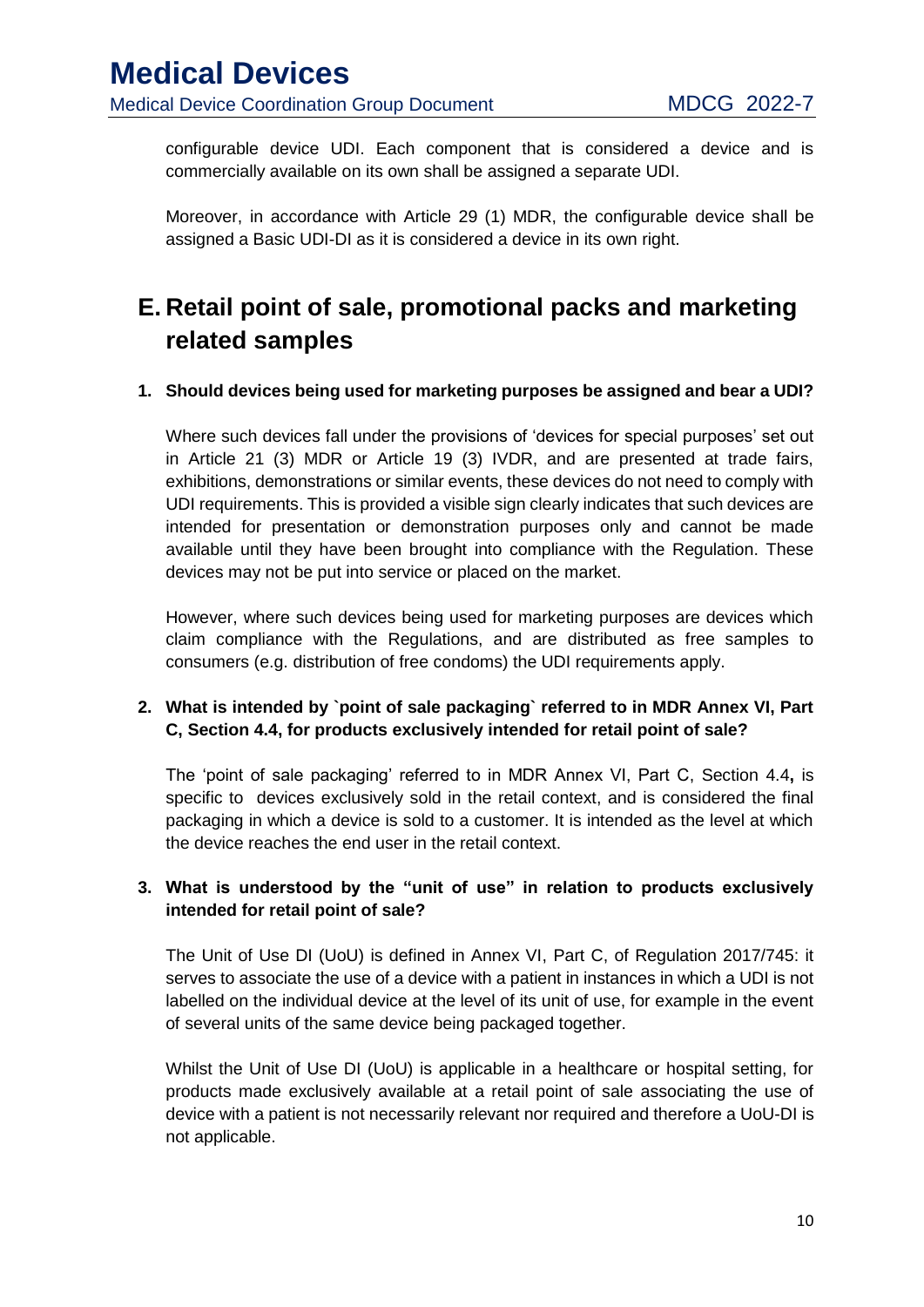configurable device UDI. Each component that is considered a device and is commercially available on its own shall be assigned a separate UDI.

Moreover, in accordance with Article 29 (1) MDR, the configurable device shall be assigned a Basic UDI-DI as it is considered a device in its own right.

# <span id="page-10-0"></span>**E. Retail point of sale, promotional packs and marketing related samples**

#### **1. Should devices being used for marketing purposes be assigned and bear a UDI?**

Where such devices fall under the provisions of 'devices for special purposes' set out in Article 21 (3) MDR or Article 19 (3) IVDR, and are presented at trade fairs, exhibitions, demonstrations or similar events, these devices do not need to comply with UDI requirements. This is provided a visible sign clearly indicates that such devices are intended for presentation or demonstration purposes only and cannot be made available until they have been brought into compliance with the Regulation. These devices may not be put into service or placed on the market.

However, where such devices being used for marketing purposes are devices which claim compliance with the Regulations, and are distributed as free samples to consumers (e.g. distribution of free condoms) the UDI requirements apply.

#### **2. What is intended by `point of sale packaging` referred to in MDR Annex VI, Part C, Section 4.4, for products exclusively intended for retail point of sale?**

The 'point of sale packaging' referred to in MDR Annex VI, Part C, Section 4.4**,** is specific to devices exclusively sold in the retail context, and is considered the final packaging in which a device is sold to a customer. It is intended as the level at which the device reaches the end user in the retail context.

#### **3. What is understood by the "unit of use" in relation to products exclusively intended for retail point of sale?**

The Unit of Use DI (UoU) is defined in Annex VI, Part C, of Regulation 2017/745: it serves to associate the use of a device with a patient in instances in which a UDI is not labelled on the individual device at the level of its unit of use, for example in the event of several units of the same device being packaged together.

Whilst the Unit of Use DI (UoU) is applicable in a healthcare or hospital setting, for products made exclusively available at a retail point of sale associating the use of device with a patient is not necessarily relevant nor required and therefore a UoU-DI is not applicable.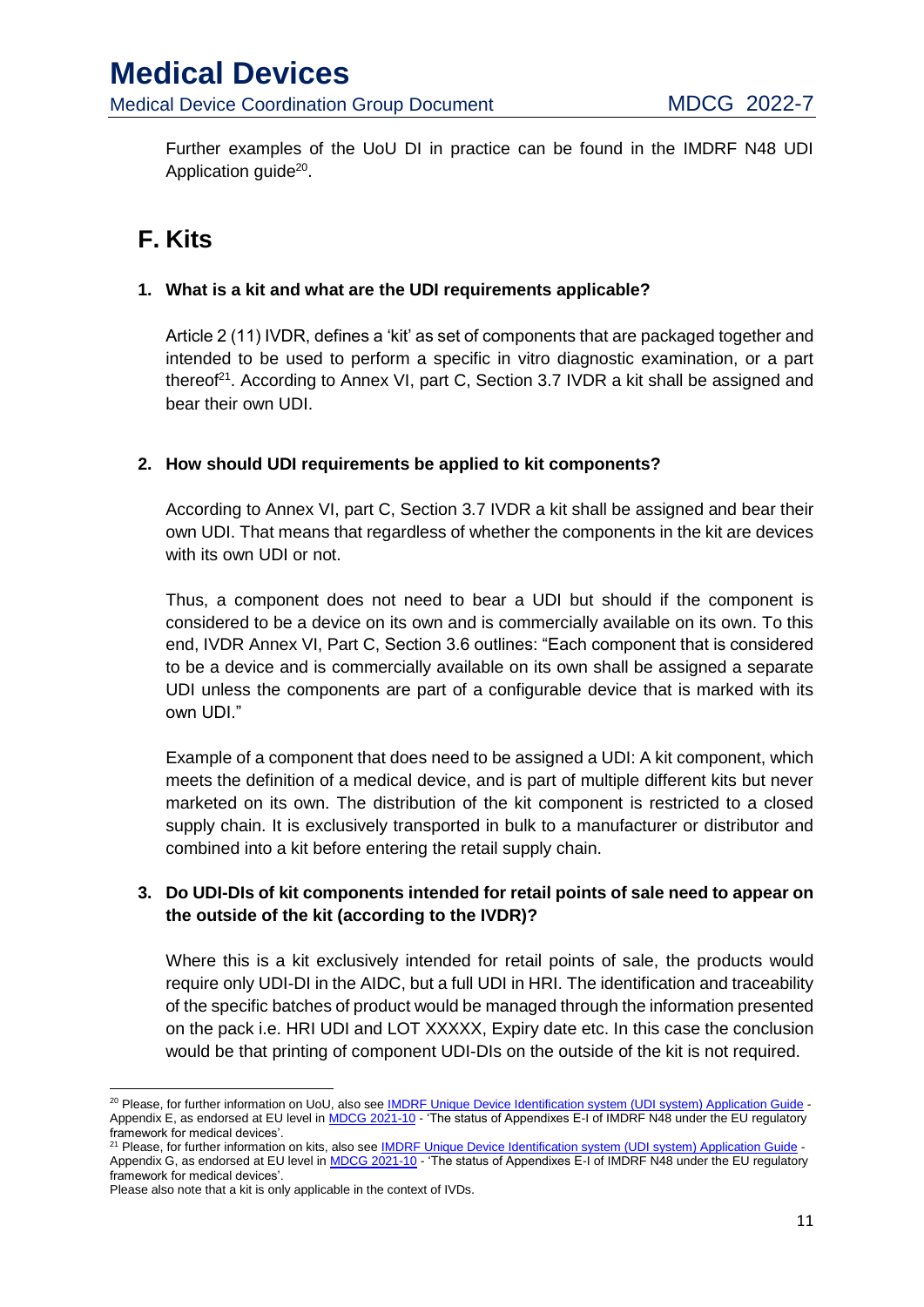Further examples of the UoU DI in practice can be found in the IMDRF N48 UDI Application guide<sup>20</sup>.

# <span id="page-11-0"></span>**F. Kits**

#### **1. What is a kit and what are the UDI requirements applicable?**

Article 2 (11) IVDR, defines a 'kit' as set of components that are packaged together and intended to be used to perform a specific in vitro diagnostic examination, or a part thereof<sup>21</sup>. According to Annex VI, part C, Section 3.7 IVDR a kit shall be assigned and bear their own UDI.

#### **2. How should UDI requirements be applied to kit components?**

According to Annex VI, part C, Section 3.7 IVDR a kit shall be assigned and bear their own UDI. That means that regardless of whether the components in the kit are devices with its own UDI or not.

Thus, a component does not need to bear a UDI but should if the component is considered to be a device on its own and is commercially available on its own. To this end, IVDR Annex VI, Part C, Section 3.6 outlines: "Each component that is considered to be a device and is commercially available on its own shall be assigned a separate UDI unless the components are part of a configurable device that is marked with its own UDI."

Example of a component that does need to be assigned a UDI: A kit component, which meets the definition of a medical device, and is part of multiple different kits but never marketed on its own. The distribution of the kit component is restricted to a closed supply chain. It is exclusively transported in bulk to a manufacturer or distributor and combined into a kit before entering the retail supply chain.

#### **3. Do UDI-DIs of kit components intended for retail points of sale need to appear on the outside of the kit (according to the IVDR)?**

Where this is a kit exclusively intended for retail points of sale, the products would require only UDI-DI in the AIDC, but a full UDI in HRI. The identification and traceability of the specific batches of product would be managed through the information presented on the pack i.e. HRI UDI and LOT XXXXX, Expiry date etc. In this case the conclusion would be that printing of component UDI-DIs on the outside of the kit is not required.

**.** 

<sup>&</sup>lt;sup>20</sup> Please, for further information on UoU, also see IMDRF Unique Device Identification system (UDI system) Application Guide -Appendix E, as endorsed at EU level in MDCG 2021-10 - 'The status of Appendixes E-I of IMDRF N48 under the EU regulatory framework for medical devices'.

<sup>&</sup>lt;sup>21</sup> Please, for further information on kits, also see IMDRF Unique Device Identification system (UDI system) Application Guide -Appendix G, as endorsed at EU level in MDCG 2021-10 - 'The status of Appendixes E-I of IMDRF N48 under the EU regulatory framework for medical devices'.

Please also note that a kit is only applicable in the context of IVDs.